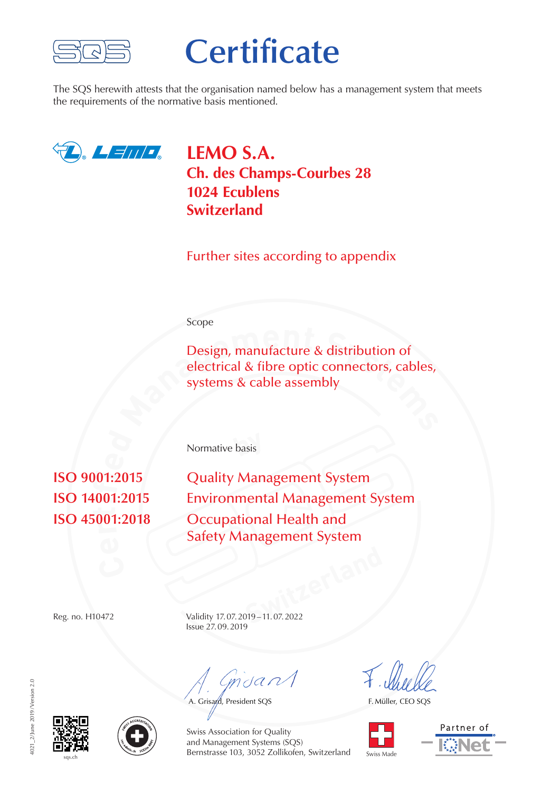

# **Certificate**

The SQS herewith attests that the organisation named below has a management system that meets the requirements of the normative basis mentioned.



**LEMO S.A. Ch. des Champs-Courbes 28 1024 Ecublens Switzerland**

Further sites according to appendix

#### Scope

**Design, manufacture & distribution of electrical & fibre optic connectors, cables, systems & cable assembly** Design, manufacture & distribution of electrical & fibre optic connectors, cables, systems & cable assembly

**by** Normative basis

**r** $\mathbf{a}$ **i** $\begin{bmatrix} 0 & 0 \\ 0 & 0 \end{bmatrix}$ **isO** 9001:2015 **Quality Management System Environmental Management System Occupational Health and** Safety Management System

**Switzerland** Reg. no. H10472 Validity 17.07.2019–11.07.2022 Issue 27.09.2019

msant

A. Grisard, President SQS

F. Müller, CEO SQS









Swiss Association for Quality and Management Systems (SQS) Bernstrasse 103, 3052 Zollikofen, Switzerland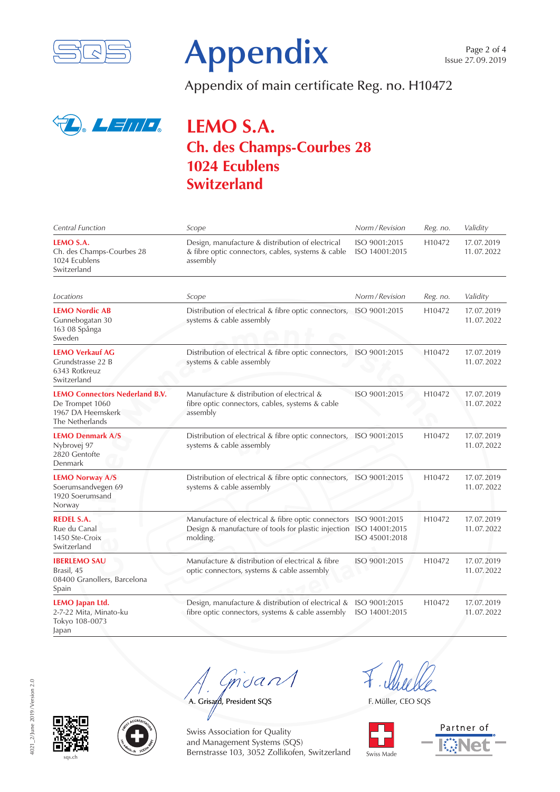



Appendix of main certificate Reg. no. H10472



# **LEMO S.A. Ch. des Champs-Courbes 28 1024 Ecublens Switzerland**

| Central Function                                                                                 | Scope                                                                                                                                | Norm / Revision                 | Reg. no.           | Validity                 |
|--------------------------------------------------------------------------------------------------|--------------------------------------------------------------------------------------------------------------------------------------|---------------------------------|--------------------|--------------------------|
| LEMO S.A.<br>Ch. des Champs-Courbes 28<br>1024 Ecublens<br>Switzerland                           | Design, manufacture & distribution of electrical<br>& fibre optic connectors, cables, systems & cable<br>assembly                    | ISO 9001:2015<br>ISO 14001:2015 | H10472             | 17.07.2019<br>11.07.2022 |
| Locations                                                                                        | Scope                                                                                                                                | Norm / Revision                 | Reg. no.           | Validity                 |
| <b>LEMO Nordic AB</b><br>Gunnebogatan 30<br>163 08 Spånga<br>Sweden                              | Distribution of electrical & fibre optic connectors,<br>systems & cable assembly                                                     | ISO 9001:2015                   | H10472             | 17.07.2019<br>11.07.2022 |
| <b>LEMO Verkauf AG</b><br>Grundstrasse 22 B<br>6343 Rotkreuz<br>Switzerland                      | Distribution of electrical & fibre optic connectors,<br>systems & cable assembly                                                     | ISO 9001:2015                   | H10472             | 17.07.2019<br>11.07.2022 |
| <b>LEMO Connectors Nederland B.V.</b><br>De Trompet 1060<br>1967 DA Heemskerk<br>The Netherlands | Manufacture & distribution of electrical &<br>fibre optic connectors, cables, systems & cable<br>assembly                            | ISO 9001:2015                   | H10472             | 17.07.2019<br>11.07.2022 |
| <b>LEMO Denmark A/S</b><br>Nybrovej 97<br>2820 Gentofte<br>Denmark                               | Distribution of electrical & fibre optic connectors, ISO 9001:2015<br>systems & cable assembly                                       |                                 | H10472             | 17.07.2019<br>11.07.2022 |
| <b>LEMO Norway A/S</b><br>Soerumsandvegen 69<br>1920 Soerumsand<br>Norway                        | Distribution of electrical & fibre optic connectors, ISO 9001:2015<br>systems & cable assembly                                       |                                 | H <sub>10472</sub> | 17.07.2019<br>11.07.2022 |
| <b>REDEL S.A.</b><br>Rue du Canal<br>1450 Ste-Croix<br>Switzerland                               | Manufacture of electrical & fibre optic connectors<br>Design & manufacture of tools for plastic injection ISO 14001:2015<br>molding. | ISO 9001:2015<br>ISO 45001:2018 | H10472             | 17.07.2019<br>11.07.2022 |
| <b>IBERLEMO SAU</b><br>Brasil, 45<br>08400 Granollers, Barcelona<br>Spain                        | Manufacture & distribution of electrical & fibre<br>optic connectors, systems & cable assembly                                       | ISO 9001:2015                   | H <sub>10472</sub> | 17.07.2019<br>11.07.2022 |
| <b>LEMO</b> Japan Ltd.<br>2-7-22 Mita, Minato-ku<br>Tokyo 108-0073<br>Japan                      | Design, manufacture & distribution of electrical &<br>fibre optic connectors, systems & cable assembly                               | ISO 9001:2015<br>ISO 14001:2015 | H <sub>10472</sub> | 17.07.2019<br>11.07.2022 |

Gnsant

A. Grisard, President SQS

F. Müller, CEO SQS









Swiss Association for Quality and Management Systems (SQS) Bernstrasse 103, 3052 Zollikofen, Switzerland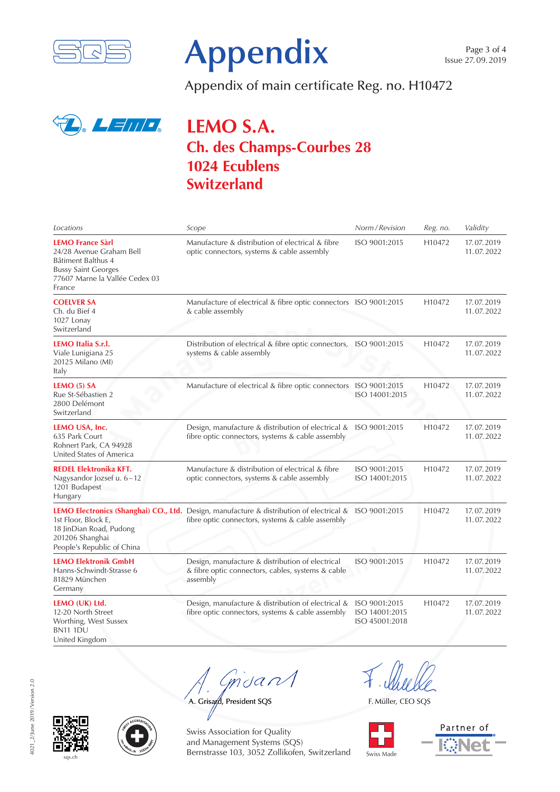



Appendix of main certificate Reg. no. H10472



# **LEMO S.A. Ch. des Champs-Courbes 28 1024 Ecublens Switzerland**

| Locations                                                                                                                                           | Scope                                                                                                                                                      | Norm / Revision                                   | Reg. no. | Validity                 |
|-----------------------------------------------------------------------------------------------------------------------------------------------------|------------------------------------------------------------------------------------------------------------------------------------------------------------|---------------------------------------------------|----------|--------------------------|
| <b>LEMO France Sàrl</b><br>24/28 Avenue Graham Bell<br>Bâtiment Balthus 4<br><b>Bussy Saint Georges</b><br>77607 Marne la Vallée Cedex 03<br>France | Manufacture & distribution of electrical & fibre<br>optic connectors, systems & cable assembly                                                             | ISO 9001:2015                                     | H10472   | 17.07.2019<br>11.07.2022 |
| <b>COELVER SA</b><br>Ch. du Bief 4<br>1027 Lonay<br>Switzerland                                                                                     | Manufacture of electrical & fibre optic connectors ISO 9001:2015<br>& cable assembly                                                                       |                                                   | H10472   | 17.07.2019<br>11.07.2022 |
| LEMO Italia S.r.l.<br>Viale Lunigiana 25<br>20125 Milano (MI)<br>Italy                                                                              | Distribution of electrical & fibre optic connectors,<br>systems & cable assembly                                                                           | ISO 9001:2015                                     | H10472   | 17.07.2019<br>11.07.2022 |
| LEMO (5) SA<br>Rue St-Sébastien 2<br>2800 Delémont<br>Switzerland                                                                                   | Manufacture of electrical & fibre optic connectors ISO 9001:2015                                                                                           | ISO 14001:2015                                    | H10472   | 17.07.2019<br>11.07.2022 |
| LEMO USA, Inc.<br>635 Park Court<br>Rohnert Park, CA 94928<br>United States of America                                                              | Design, manufacture & distribution of electrical & ISO 9001:2015<br>fibre optic connectors, systems & cable assembly                                       |                                                   | H10472   | 17.07.2019<br>11.07.2022 |
| <b>REDEL Elektronika KFT.</b><br>Nagysandor Jozsef u. 6-12<br>1201 Budapest<br>Hungary                                                              | Manufacture & distribution of electrical & fibre<br>optic connectors, systems & cable assembly                                                             | ISO 9001:2015<br>ISO 14001:2015                   | H10472   | 17.07.2019<br>11.07.2022 |
| 1st Floor, Block E,<br>18 JinDian Road, Pudong<br>201206 Shanghai<br>People's Republic of China                                                     | LEMO Electronics (Shanghai) CO., Ltd. Design, manufacture & distribution of electrical & ISO 9001:2015<br>fibre optic connectors, systems & cable assembly |                                                   | H10472   | 17.07.2019<br>11.07.2022 |
| <b>LEMO Elektronik GmbH</b><br>Hanns-Schwindt-Strasse 6<br>81829 München<br>Germany                                                                 | Design, manufacture & distribution of electrical<br>& fibre optic connectors, cables, systems & cable<br>assembly                                          | ISO 9001:2015                                     | H10472   | 17.07.2019<br>11.07.2022 |
| LEMO (UK) Ltd.<br>12-20 North Street<br>Worthing, West Sussex<br><b>BN11 1DU</b><br>United Kingdom                                                  | Design, manufacture & distribution of electrical &<br>fibre optic connectors, systems & cable assembly                                                     | ISO 9001:2015<br>ISO 14001:2015<br>ISO 45001:2018 | H10472   | 17.07.2019<br>11.07.2022 |

msan

A. Grisard, President SQS

F. Müller, CEO SQS



Partner of





Swiss Association for Quality and Management Systems (SQS) Bernstrasse 103, 3052 Zollikofen, Switzerland